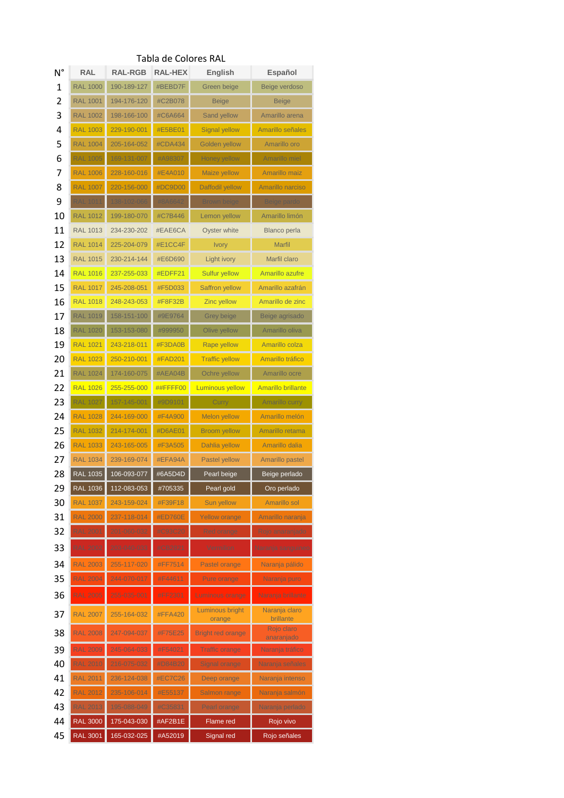|    |                 |                |                | E CUIULES IVAL            |                            |
|----|-----------------|----------------|----------------|---------------------------|----------------------------|
| N° | <b>RAL</b>      | <b>RAL-RGB</b> | <b>RAL-HEX</b> | English                   | Español                    |
| 1  | <b>RAL 1000</b> | 190-189-127    | #BEBD7F        | Green beige               | Beige verdoso              |
| 2  | <b>RAL 1001</b> | 194-176-120    | #C2B078        | <b>Beige</b>              | <b>Beige</b>               |
| 3  | <b>RAL 1002</b> | 198-166-100    | #C6A664        | Sand yellow               | Amarillo arena             |
| 4  | <b>RAL 1003</b> | 229-190-001    | #E5BE01        | <b>Signal yellow</b>      | Amarillo señales           |
| 5  | <b>RAL 1004</b> | 205-164-052    | #CDA434        | <b>Golden yellow</b>      | Amarillo oro               |
| 6  | <b>RAL 1005</b> | 169-131-007    | #A98307        | Honey yellow              | Amarillo miel              |
| 7  | <b>RAL 1006</b> | 228-160-016    | #E4A010        | <b>Maize yellow</b>       | <b>Amarillo maiz</b>       |
| 8  | <b>RAL 1007</b> | 220-156-000    | #DC9D00        | Daffodil yellow           | Amarillo narciso           |
| 9  | <b>RAL 1011</b> | 138-102-066    | #8A6642        | <b>Brown beige</b>        | Beige pardo                |
| 10 | <b>RAL 1012</b> | 199-180-070    | #C7B446        | Lemon yellow              | Amarillo limón             |
| 11 | <b>RAL 1013</b> | 234-230-202    | #EAE6CA        | Oyster white              | <b>Blanco perla</b>        |
| 12 | <b>RAL 1014</b> | 225-204-079    | #E1CC4F        |                           | <b>Marfil</b>              |
|    |                 |                |                | <b>Ivory</b>              | Marfil claro               |
| 13 | <b>RAL 1015</b> | 230-214-144    | #E6D690        | Light ivory               |                            |
| 14 | <b>RAL 1016</b> | 237-255-033    | #EDFF21        | <b>Sulfur yellow</b>      | Amarillo azufre            |
| 15 | <b>RAL 1017</b> | 245-208-051    | #F5D033        | <b>Saffron yellow</b>     | Amarillo azafrán           |
| 16 | <b>RAL 1018</b> | 248-243-053    | #F8F32B        | <b>Zinc yellow</b>        | Amarillo de zinc           |
| 17 | <b>RAL 1019</b> | 158-151-100    | #9E9764        | Grey beige                | Beige agrisado             |
| 18 | <b>RAL 1020</b> | 153-153-080    | #999950        | Olive yellow              | Amarillo oliva             |
| 19 | <b>RAL 1021</b> | 243-218-011    | #F3DA0B        | Rape yellow               | Amarillo colza             |
| 20 | <b>RAL 1023</b> | 250-210-001    | #FAD201        | <b>Traffic yellow</b>     | Amarillo tráfico           |
| 21 | <b>RAL 1024</b> | 174-160-075    | #AEA04B        | Ochre yellow              | Amarillo ocre              |
| 22 | <b>RAL 1026</b> | 255-255-000    | ##FFFF00       | <b>Luminous yellow</b>    | <b>Amarillo brillante</b>  |
| 23 | <b>RAL 1027</b> | 157-145-001    | #9D9101        | Curry                     | <b>Amarillo curry</b>      |
| 24 | <b>RAL 1028</b> | 244-169-000    | #F4A900        | <b>Melon yellow</b>       | Amarillo melón             |
| 25 | <b>RAL 1032</b> | 214-174-001    | #D6AE01        | <b>Broom yellow</b>       | Amarillo retama            |
| 26 | <b>RAL 1033</b> | 243-165-005    | #F3A505        | <b>Dahlia yellow</b>      | Amarillo dalia             |
| 27 | <b>RAL 1034</b> | 239-169-074    | #EFA94A        | Pastel yellow             | <b>Amarillo pastel</b>     |
| 28 | <b>RAL 1035</b> | 106-093-077    | #6A5D4D        | Pearl beige               | Beige perlado              |
| 29 | <b>RAL 1036</b> | 112-083-053    | #705335        | Pearl gold                | Oro perlado                |
| 30 | <b>RAL 1037</b> | 243-159-024    | #F39F18        | Sun yellow                | <b>Amarillo sol</b>        |
| 31 | <b>RAL 2000</b> | 237-118-014    | #ED760E        | <b>Yellow orange</b>      | Amarillo naranja           |
| 32 | <b>RAL 2001</b> | 201-060-032    | #C93C20        | Red orange                | Rojo anaranjado            |
| 33 | <b>RAL 2002</b> | 203-040-033    | #CB2821        | Vermilion                 | Naranja sanguineo          |
|    |                 |                |                |                           |                            |
| 34 | <b>RAL 2003</b> | 255-117-020    | #FF7514        | Pastel orange             | Naranja pálido             |
| 35 | <b>RAL 2004</b> | 244-070-017    | #F44611        | <b>Pure orange</b>        | Naranja puro               |
| 36 | <b>RAL 2005</b> | 255-035-001    | #FF2301        | Luminous orange           | Naranja brillante          |
| 37 | <b>RAL 2007</b> | 255-164-032    | <b>#FFA420</b> | Luminous bright<br>orange | Naranja claro<br>brillante |
| 38 | <b>RAL 2008</b> | 247-094-037    | #F75E25        | <b>Bright red orange</b>  | Rojo claro<br>anaranjado   |
| 39 | <b>RAL 2009</b> | 245-064-033    | #F54021        | <b>Traffic orange</b>     | Naranja tráfico            |
| 40 | <b>RAL 2010</b> | 216-075-032    | #D84B20        | <b>Signal orange</b>      | Naranja señales            |
| 41 | <b>RAL 2011</b> | 236-124-038    | <b>#EC7C26</b> | Deep orange               | Naranja intenso            |
| 42 | <b>RAL 2012</b> | 235-106-014    | #E55137        | Salmon range              | Naranja salmón             |
| 43 | <b>RAL 2013</b> | 195-088-049    | #C35831        | Pearl orange              | Naranja perlado            |
| 44 | <b>RAL 3000</b> | 175-043-030    | #AF2B1E        | Flame red                 | Rojo vivo                  |
| 45 | <b>RAL 3001</b> | 165-032-025    | #A52019        | Signal red                | Rojo señales               |
|    |                 |                |                |                           |                            |

## Tabla de Colores RAL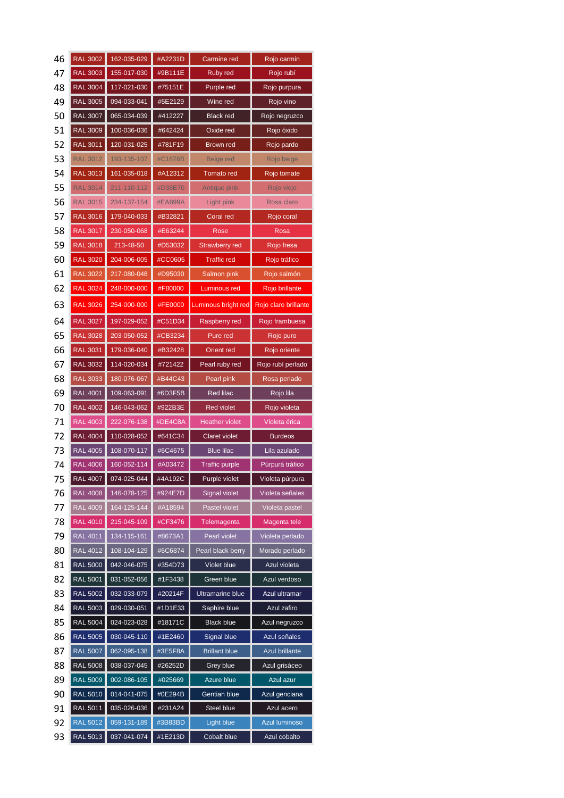| 46 | <b>RAL 3002</b> | 162-035-029 | #A2231D | Carmine red             | Rojo carmin           |
|----|-----------------|-------------|---------|-------------------------|-----------------------|
| 47 | <b>RAL 3003</b> | 155-017-030 | #9B111E | Ruby red                | Rojo rubí             |
| 48 | <b>RAL 3004</b> | 117-021-030 | #75151E | Purple red              | Rojo purpura          |
| 49 | <b>RAL 3005</b> | 094-033-041 | #5E2129 | Wine red                | Rojo vino             |
| 50 | <b>RAL 3007</b> | 065-034-039 | #412227 | <b>Black red</b>        | Rojo negruzco         |
| 51 | <b>RAL 3009</b> | 100-036-036 | #642424 | Oxide red               | Rojo óxido            |
| 52 | <b>RAL 3011</b> | 120-031-025 | #781F19 | Brown red               | Rojo pardo            |
| 53 | <b>RAL 3012</b> | 193-135-107 | #C1876B | Beige red               | Rojo beige            |
| 54 | <b>RAL 3013</b> | 161-035-018 | #A12312 | <b>Tomato</b> red       | Rojo tomate           |
| 55 | <b>RAL 3014</b> | 211-110-112 | #D36E70 | Antique pink            | Rojo viejo            |
| 56 | <b>RAL 3015</b> | 234-137-154 | #EA899A | Light pink              | Rosa claro            |
| 57 | <b>RAL 3016</b> | 179-040-033 | #B32821 | Coral red               | Rojo coral            |
| 58 | <b>RAL 3017</b> | 230-050-068 | #E63244 | Rose                    | Rosa                  |
| 59 | <b>RAL 3018</b> | 213-48-50   | #D53032 | Strawberry red          | Rojo fresa            |
| 60 | <b>RAL 3020</b> | 204-006-005 | #CC0605 | <b>Traffic red</b>      | Rojo tráfico          |
| 61 | <b>RAL 3022</b> | 217-080-048 | #D95030 | Salmon pink             | Rojo salmón           |
| 62 | <b>RAL 3024</b> | 248-000-000 | #F80000 | Luminous red            | Rojo brillante        |
| 63 | <b>RAL 3026</b> | 254-000-000 | #FE0000 | Luminous bright red     | Rojo claro brillante  |
| 64 | <b>RAL 3027</b> | 197-029-052 | #C51D34 | Raspberry red           | Rojo frambuesa        |
| 65 | <b>RAL 3028</b> | 203-050-052 | #CB3234 | Pure red                | Rojo puro             |
| 66 | <b>RAL 3031</b> | 179-036-040 | #B32428 | Orient red              | Rojo oriente          |
| 67 | <b>RAL 3032</b> | 114-020-034 | #721422 | Pearl ruby red          | Rojo rubí perlado     |
| 68 | <b>RAL 3033</b> | 180-076-067 | #B44C43 | Pearl pink              | Rosa perlado          |
| 69 | <b>RAL 4001</b> | 109-063-091 | #6D3F5B | Red lilac               | Rojo lila             |
| 70 | <b>RAL 4002</b> | 146-043-062 | #922B3E | Red violet              | Rojo violeta          |
| 71 | <b>RAL 4003</b> | 222-076-138 | #DE4C8A | <b>Heather violet</b>   | Violeta érica         |
| 72 | <b>RAL 4004</b> | 110-028-052 | #641C34 | Claret violet           | <b>Burdeos</b>        |
| 73 | <b>RAL 4005</b> | 108-070-117 | #6C4675 | <b>Blue lilac</b>       | Lila azulado          |
| 74 | <b>RAL 4006</b> | 160-052-114 | #A03472 | <b>Traffic purple</b>   | Púrpurá tráfico       |
| 75 | RAL 4007        | 074-025-044 | #4A192C | Purple violet           | Violeta purpura       |
| 76 | <b>RAL 4008</b> | 146-078-125 | #924E7D | <b>Signal violet</b>    | Violeta señales       |
| 77 | <b>RAL 4009</b> | 164-125-144 | #A18594 | Pastel violet           | Violeta pastel        |
| 78 | <b>RAL 4010</b> | 215-045-109 | #CF3476 | Telemagenta             | Magenta tele          |
| 79 | <b>RAL 4011</b> | 134-115-161 | #8673A1 | Pearl violet            | Violeta perlado       |
| 80 | <b>RAL 4012</b> | 108-104-129 | #6C6874 | Pearl black berry       | Morado perlado        |
| 81 | <b>RAL 5000</b> | 042-046-075 | #354D73 | Violet blue             | Azul violeta          |
| 82 | <b>RAL 5001</b> | 031-052-056 | #1F3438 | Green blue              | Azul verdoso          |
| 83 | <b>RAL 5002</b> | 032-033-079 | #20214F | <b>Ultramarine blue</b> | Azul ultramar         |
| 84 | <b>RAL 5003</b> | 029-030-051 | #1D1E33 | Saphire blue            | Azul zafiro           |
| 85 | <b>RAL 5004</b> | 024-023-028 | #18171C | <b>Black blue</b>       | Azul negruzco         |
| 86 | <b>RAL 5005</b> | 030-045-110 | #1E2460 | <b>Signal blue</b>      | Azul señales          |
| 87 | <b>RAL 5007</b> | 062-095-138 | #3E5F8A | <b>Brillant blue</b>    | <b>Azul brillante</b> |
| 88 | <b>RAL 5008</b> | 038-037-045 | #26252D | Grey blue               | Azul grisáceo         |
| 89 | <b>RAL 5009</b> | 002-086-105 | #025669 | Azure blue              | Azul azur             |
| 90 | <b>RAL 5010</b> | 014-041-075 | #0E294B | Gentian blue            | Azul genciana         |
| 91 | <b>RAL 5011</b> | 035-026-036 | #231A24 | Steel blue              | Azul acero            |
| 92 | <b>RAL 5012</b> | 059-131-189 | #3B83BD | <b>Light blue</b>       | Azul luminoso         |
| 93 | <b>RAL 5013</b> | 037-041-074 | #1E213D | Cobalt blue             | Azul cobalto          |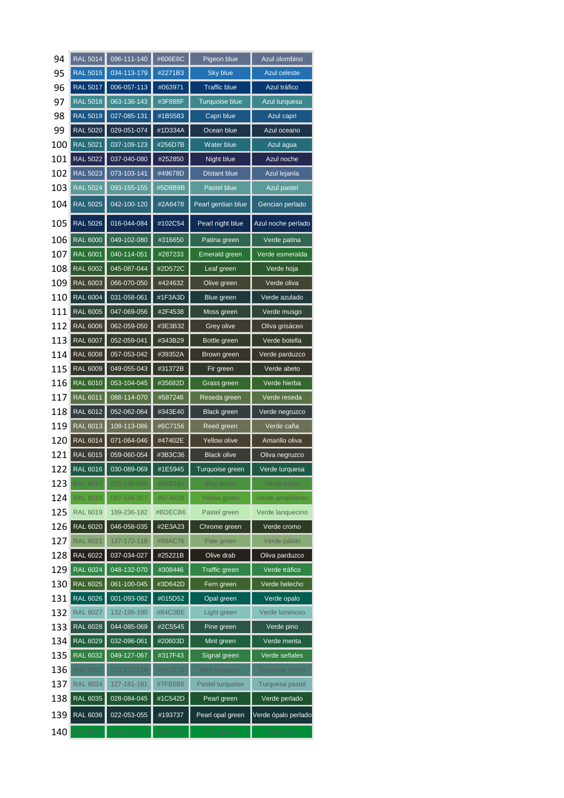| 94  | <b>RAL 5014</b> | 096-111-140 | #606E8C | Pigeon blue          | Azul olombino       |
|-----|-----------------|-------------|---------|----------------------|---------------------|
| 95  | <b>RAL 5015</b> | 034-113-179 | #2271B3 | <b>Sky blue</b>      | <b>Azul celeste</b> |
| 96  | <b>RAL 5017</b> | 006-057-113 | #063971 | <b>Traffic blue</b>  | Azul tráfico        |
| 97  | <b>RAL 5018</b> | 063-136-143 | #3F888F | Turquoise blue       | Azul turquesa       |
| 98  | <b>RAL 5019</b> | 027-085-131 | #1B5583 | Capri blue           | Azul capri          |
| 99  | <b>RAL 5020</b> | 029-051-074 | #1D334A | Ocean blue           | Azul oceano         |
| 100 | <b>RAL 5021</b> | 037-109-123 | #256D7B | Water blue           | Azul agua           |
| 101 | <b>RAL 5022</b> | 037-040-080 | #252850 | Night blue           | Azul noche          |
| 102 | <b>RAL 5023</b> | 073-103-141 | #49678D | <b>Distant blue</b>  | Azul lejanía        |
| 103 | <b>RAL 5024</b> | 093-155-155 | #5D9B9B | Pastel blue          | Azul pastel         |
| 104 | <b>RAL 5025</b> | 042-100-120 | #2A6478 | Pearl gentian blue   | Gencian perlado     |
| 105 | <b>RAL 5026</b> | 016-044-084 | #102C54 | Pearl night blue     | Azul noche perlado  |
| 106 | <b>RAL 6000</b> | 049-102-080 | #316650 | Patina green         | Verde patina        |
| 107 | <b>RAL 6001</b> | 040-114-051 | #287233 | Emerald green        | Verde esmeralda     |
| 108 | <b>RAL 6002</b> | 045-087-044 | #2D572C | Leaf green           | Verde hoja          |
| 109 | <b>RAL 6003</b> | 066-070-050 | #424632 | Olive green          | Verde oliva         |
| 110 | <b>RAL 6004</b> | 031-058-061 | #1F3A3D | Blue green           | Verde azulado       |
| 111 | <b>RAL 6005</b> | 047-069-056 | #2F4538 | Moss green           | Verde musgo         |
| 112 | <b>RAL 6006</b> | 062-059-050 | #3E3B32 | Grey olive           | Oliva grisáceo      |
| 113 | <b>RAL 6007</b> | 052-059-041 | #343B29 | Bottle green         | Verde botella       |
| 114 | <b>RAL 6008</b> | 057-053-042 | #39352A | Brown green          | Verde parduzco      |
| 115 | <b>RAL 6009</b> | 049-055-043 | #31372B | Fir green            | Verde abeto         |
| 116 | <b>RAL 6010</b> | 053-104-045 | #35682D | Grass green          | Verde hierba        |
| 117 | <b>RAL 6011</b> | 088-114-070 | #587246 | Reseda green         | Verde reseda        |
| 118 | RAL 6012        | 052-062-064 | #343E40 | <b>Black green</b>   | Verde negruzco      |
| 119 | <b>RAL 6013</b> | 108-113-086 | #6C7156 | Reed green           | Verde caña          |
| 120 | <b>RAL 6014</b> | 071-064-046 | #47402E | <b>Yellow olive</b>  | Amarillo oliva      |
| 121 | <b>RAL 6015</b> | 059-060-054 | #3B3C36 | <b>Black olive</b>   | Oliva negruzco      |
| 122 | <b>RAL 6016</b> | 030-089-069 | #1E5945 | Turquoise green      | Verde turquesa      |
| 123 | <b>RAL 6017</b> | 076-145-065 | #4C9141 | May green            | Verde mayo          |
| 124 | <b>RAL 6018</b> | 087-166-057 | #57A639 | Yellow green         | Verde amarillento   |
| 125 | <b>RAL 6019</b> | 189-236-182 | #BDECB6 | Pastel green         | Verde lanquecino    |
| 126 | <b>RAL 6020</b> | 046-058-035 | #2E3A23 | Chrome green         | Verde cromo         |
| 127 | <b>RAL 6021</b> | 137-172-118 | #89AC76 | Pale green           | Verde pálido        |
| 128 | <b>RAL 6022</b> | 037-034-027 | #25221B | Olive drab           | Oliva parduzco      |
| 129 | <b>RAL 6024</b> | 048-132-070 | #308446 | <b>Traffic green</b> | Verde tráfico       |
| 130 | <b>RAL 6025</b> | 061-100-045 | #3D642D | Fern green           | Verde helecho       |
| 131 | <b>RAL 6026</b> | 001-093-082 | #015D52 | Opal green           | Verde opalo         |
| 132 | <b>RAL 6027</b> | 132-195-190 | #84C3BE | Light green          | Verde luminoso      |
| 133 | <b>RAL 6028</b> | 044-085-069 | #2C5545 | Pine green           | Verde pino          |
| 134 | <b>RAL 6029</b> | 032-096-061 | #20603D | Mint green           | Verde menta         |
| 135 | <b>RAL 6032</b> | 049-127-067 | #317F43 | Signal green         | Verde señales       |
| 136 | <b>RAL 6033</b> | 073-126-118 | #497E76 | Mint turquoise       | Turquesa menta      |
| 137 | <b>RAL 6034</b> | 127-181-181 | #7FB5B5 | Pastel turquoise     | Turquesa pastel     |
| 138 | <b>RAL 6035</b> | 028-084-045 | #1C542D | Pearl green          | Verde perlado       |
| 139 | RAL 6036        | 022-053-055 | #193737 | Pearl opal green     | Verde ópalo perlado |
| 140 | <b>RAL 6037</b> | 000-143-057 | #008F39 | Pure green           | Verde puro          |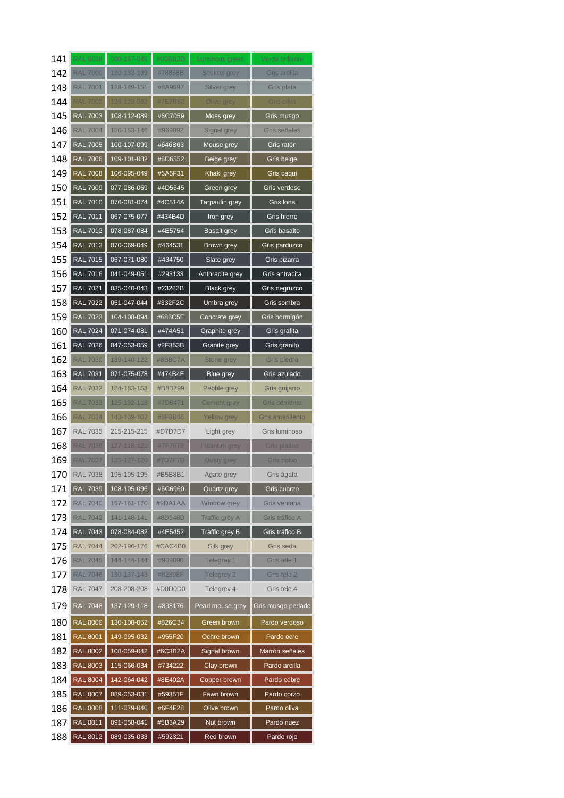| 141 | <b>RAL 6038</b> | 000-187-045 | #00BB2D | Luminous green     | Verde brillante    |
|-----|-----------------|-------------|---------|--------------------|--------------------|
| 142 | <b>RAL 7000</b> | 120-133-139 | #78858B | Squirrel grey      | Gris ardilla       |
| 143 | <b>RAL 7001</b> | 138-149-151 | #8A9597 | Silver grey        | Gris plata         |
| 144 | <b>RAL 7002</b> | 126-123-082 | #7E7B52 | Olive grey         | Gris oliva         |
| 145 | <b>RAL 7003</b> | 108-112-089 | #6C7059 | Moss grey          | Gris musgo         |
| 146 | <b>RAL 7004</b> | 150-153-146 | #969992 | Signal grey        | Gris señales       |
| 147 | <b>RAL 7005</b> | 100-107-099 | #646B63 | Mouse grey         | Gris ratón         |
| 148 | <b>RAL 7006</b> | 109-101-082 | #6D6552 | Beige grey         | Gris beige         |
| 149 | <b>RAL 7008</b> | 106-095-049 | #6A5F31 | Khaki grey         | Gris caqui         |
| 150 | <b>RAL 7009</b> | 077-086-069 | #4D5645 | Green grey         | Gris verdoso       |
| 151 | <b>RAL 7010</b> | 076-081-074 | #4C514A | Tarpaulin grey     | Gris Iona          |
| 152 | <b>RAL 7011</b> | 067-075-077 | #434B4D | Iron grey          | Gris hierro        |
| 153 | <b>RAL 7012</b> | 078-087-084 | #4E5754 | <b>Basalt grey</b> | Gris basalto       |
| 154 | <b>RAL 7013</b> | 070-069-049 | #464531 | Brown grey         | Gris parduzco      |
| 155 | <b>RAL 7015</b> | 067-071-080 | #434750 | Slate grey         | Gris pizarra       |
| 156 | <b>RAL 7016</b> | 041-049-051 | #293133 | Anthracite grey    | Gris antracita     |
| 157 | <b>RAL 7021</b> | 035-040-043 | #23282B | <b>Black grey</b>  | Gris negruzco      |
| 158 | <b>RAL 7022</b> | 051-047-044 | #332F2C | Umbra grey         | Gris sombra        |
| 159 | <b>RAL 7023</b> | 104-108-094 | #686C5E | Concrete grey      | Gris hormigón      |
| 160 | <b>RAL 7024</b> | 071-074-081 | #474A51 | Graphite grey      | Gris grafita       |
| 161 | <b>RAL 7026</b> | 047-053-059 | #2F353B | Granite grey       | Gris granito       |
| 162 | <b>RAL 7030</b> | 139-140-122 | #8B8C7A | Stone grey         | Gris piedra        |
| 163 | <b>RAL 7031</b> | 071-075-078 | #474B4E | Blue grey          | Gris azulado       |
| 164 | <b>RAL 7032</b> | 184-183-153 | #B8B799 | Pebble grey        | Gris guijarro      |
| 165 | <b>RAL 7033</b> | 125-132-113 | #7D8471 | Cement grey        | Gris cemento       |
| 166 | <b>RAL 7034</b> | 143-139-102 | #8F8B66 | Yellow grey        | Gris amarillento   |
| 167 | <b>RAL 7035</b> | 215-215-215 | #D7D7D7 | Light grey         | Gris luminoso      |
| 168 | <b>RAL 7036</b> | 127-118-121 | #7F7679 | Platinum grey      | Gris platino       |
| 169 | <b>RAL 7037</b> | 125-127-120 | #7D7F7D | Dusty grey         | Gris polvo         |
| 170 | <b>RAL 7038</b> | 195-195-195 | #B5B8B1 | Agate grey         | Gris ágata         |
| 171 | <b>RAL 7039</b> | 108-105-096 | #6C6960 | Quartz grey        | Gris cuarzo        |
| 172 | <b>RAL 7040</b> | 157-161-170 | #9DA1AA | Window grey        | Gris ventana       |
| 173 | <b>RAL 7042</b> | 141-148-141 | #8D948D | Traffic grey A     | Gris tráfico A     |
| 174 | <b>RAL 7043</b> | 078-084-082 | #4E5452 | Traffic grey B     | Gris tráfico B     |
| 175 | <b>RAL 7044</b> | 202-196-176 | #CAC4B0 | Silk grey          | Gris seda          |
| 176 | <b>RAL 7045</b> | 144-144-144 | #909090 | Telegrey 1         | Gris tele 1        |
| 177 | <b>RAL 7046</b> | 130-137-143 | #82898F | Telegrey 2         | Gris tele 2        |
| 178 | <b>RAL 7047</b> | 208-208-208 | #D0D0D0 | Telegrey 4         | Gris tele 4        |
| 179 | <b>RAL 7048</b> | 137-129-118 | #898176 | Pearl mouse grey   | Gris musgo perlado |
| 180 | <b>RAL 8000</b> | 130-108-052 | #826C34 | Green brown        | Pardo verdoso      |
| 181 | <b>RAL 8001</b> | 149-095-032 | #955F20 | Ochre brown        | Pardo ocre         |
| 182 | <b>RAL 8002</b> | 108-059-042 | #6C3B2A | Signal brown       | Marrón señales     |
| 183 | <b>RAL 8003</b> | 115-066-034 | #734222 | Clay brown         | Pardo arcilla      |
|     |                 |             |         | Copper brown       |                    |
| 184 | <b>RAL 8004</b> | 142-064-042 | #8E402A |                    | Pardo cobre        |
| 185 | <b>RAL 8007</b> | 089-053-031 | #59351F | Fawn brown         | Pardo corzo        |
| 186 | <b>RAL 8008</b> | 111-079-040 | #6F4F28 | Olive brown        | Pardo oliva        |
| 187 | <b>RAL 8011</b> | 091-058-041 | #5B3A29 | Nut brown          | Pardo nuez         |